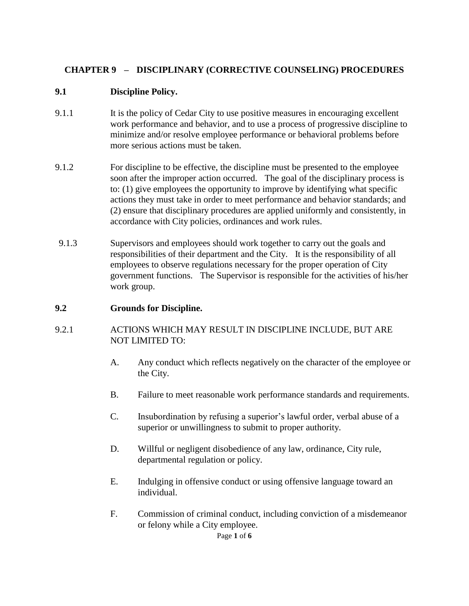# **CHAPTER 9 – DISCIPLINARY (CORRECTIVE COUNSELING) PROCEDURES**

### **9.1 Discipline Policy.**

- 9.1.1 It is the policy of Cedar City to use positive measures in encouraging excellent work performance and behavior, and to use a process of progressive discipline to minimize and/or resolve employee performance or behavioral problems before more serious actions must be taken.
- 9.1.2 For discipline to be effective, the discipline must be presented to the employee soon after the improper action occurred. The goal of the disciplinary process is to: (1) give employees the opportunity to improve by identifying what specific actions they must take in order to meet performance and behavior standards; and (2) ensure that disciplinary procedures are applied uniformly and consistently, in accordance with City policies, ordinances and work rules.
- 9.1.3 Supervisors and employees should work together to carry out the goals and responsibilities of their department and the City. It is the responsibility of all employees to observe regulations necessary for the proper operation of City government functions. The Supervisor is responsible for the activities of his/her work group.

#### **9.2 Grounds for Discipline.**

## 9.2.1 ACTIONS WHICH MAY RESULT IN DISCIPLINE INCLUDE, BUT ARE NOT LIMITED TO:

- A. Any conduct which reflects negatively on the character of the employee or the City.
- B. Failure to meet reasonable work performance standards and requirements.
- C. Insubordination by refusing a superior's lawful order, verbal abuse of a superior or unwillingness to submit to proper authority.
- D. Willful or negligent disobedience of any law, ordinance, City rule, departmental regulation or policy.
- E. Indulging in offensive conduct or using offensive language toward an individual.
- F. Commission of criminal conduct, including conviction of a misdemeanor or felony while a City employee.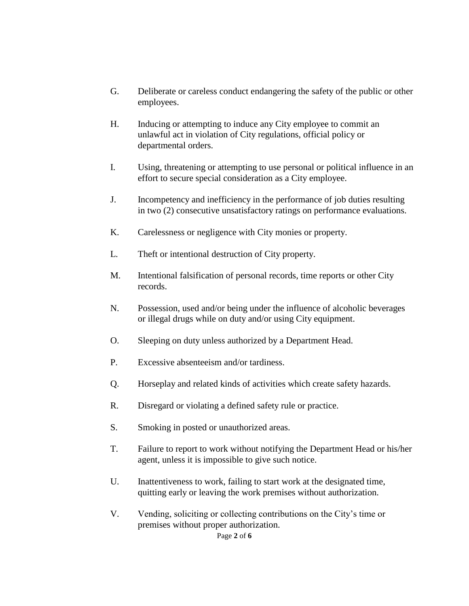- G. Deliberate or careless conduct endangering the safety of the public or other employees.
- H. Inducing or attempting to induce any City employee to commit an unlawful act in violation of City regulations, official policy or departmental orders.
- I. Using, threatening or attempting to use personal or political influence in an effort to secure special consideration as a City employee.
- J. Incompetency and inefficiency in the performance of job duties resulting in two (2) consecutive unsatisfactory ratings on performance evaluations.
- K. Carelessness or negligence with City monies or property.
- L. Theft or intentional destruction of City property.
- M. Intentional falsification of personal records, time reports or other City records.
- N. Possession, used and/or being under the influence of alcoholic beverages or illegal drugs while on duty and/or using City equipment.
- O. Sleeping on duty unless authorized by a Department Head.
- P. Excessive absenteeism and/or tardiness.
- Q. Horseplay and related kinds of activities which create safety hazards.
- R. Disregard or violating a defined safety rule or practice.
- S. Smoking in posted or unauthorized areas.
- T. Failure to report to work without notifying the Department Head or his/her agent, unless it is impossible to give such notice.
- U. Inattentiveness to work, failing to start work at the designated time, quitting early or leaving the work premises without authorization.
- V. Vending, soliciting or collecting contributions on the City's time or premises without proper authorization.

Page **2** of **6**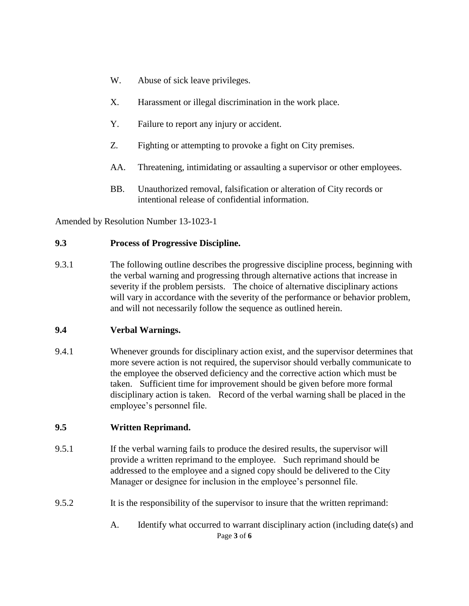- W. Abuse of sick leave privileges.
- X. Harassment or illegal discrimination in the work place.
- Y. Failure to report any injury or accident.
- Z. Fighting or attempting to provoke a fight on City premises.
- AA. Threatening, intimidating or assaulting a supervisor or other employees.
- BB. Unauthorized removal, falsification or alteration of City records or intentional release of confidential information.

Amended by Resolution Number 13-1023-1

#### **9.3 Process of Progressive Discipline.**

9.3.1 The following outline describes the progressive discipline process, beginning with the verbal warning and progressing through alternative actions that increase in severity if the problem persists. The choice of alternative disciplinary actions will vary in accordance with the severity of the performance or behavior problem, and will not necessarily follow the sequence as outlined herein.

#### **9.4 Verbal Warnings.**

9.4.1 Whenever grounds for disciplinary action exist, and the supervisor determines that more severe action is not required, the supervisor should verbally communicate to the employee the observed deficiency and the corrective action which must be taken. Sufficient time for improvement should be given before more formal disciplinary action is taken. Record of the verbal warning shall be placed in the employee's personnel file.

## **9.5 Written Reprimand.**

- 9.5.1 If the verbal warning fails to produce the desired results, the supervisor will provide a written reprimand to the employee. Such reprimand should be addressed to the employee and a signed copy should be delivered to the City Manager or designee for inclusion in the employee's personnel file.
- 9.5.2 It is the responsibility of the supervisor to insure that the written reprimand:
	- Page **3** of **6** A. Identify what occurred to warrant disciplinary action (including date(s) and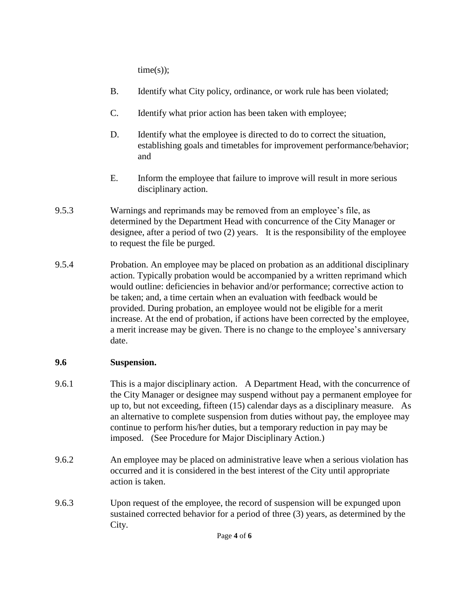$time(s)$ ;

- B. Identify what City policy, ordinance, or work rule has been violated;
- C. Identify what prior action has been taken with employee;
- D. Identify what the employee is directed to do to correct the situation, establishing goals and timetables for improvement performance/behavior; and
- E. Inform the employee that failure to improve will result in more serious disciplinary action.
- 9.5.3 Warnings and reprimands may be removed from an employee's file, as determined by the Department Head with concurrence of the City Manager or designee, after a period of two (2) years. It is the responsibility of the employee to request the file be purged.
- 9.5.4 Probation. An employee may be placed on probation as an additional disciplinary action. Typically probation would be accompanied by a written reprimand which would outline: deficiencies in behavior and/or performance; corrective action to be taken; and, a time certain when an evaluation with feedback would be provided. During probation, an employee would not be eligible for a merit increase. At the end of probation, if actions have been corrected by the employee, a merit increase may be given. There is no change to the employee's anniversary date.

# **9.6 Suspension.**

- 9.6.1 This is a major disciplinary action. A Department Head, with the concurrence of the City Manager or designee may suspend without pay a permanent employee for up to, but not exceeding, fifteen (15) calendar days as a disciplinary measure. As an alternative to complete suspension from duties without pay, the employee may continue to perform his/her duties, but a temporary reduction in pay may be imposed. (See Procedure for Major Disciplinary Action.)
- 9.6.2 An employee may be placed on administrative leave when a serious violation has occurred and it is considered in the best interest of the City until appropriate action is taken.
- 9.6.3 Upon request of the employee, the record of suspension will be expunged upon sustained corrected behavior for a period of three (3) years, as determined by the City.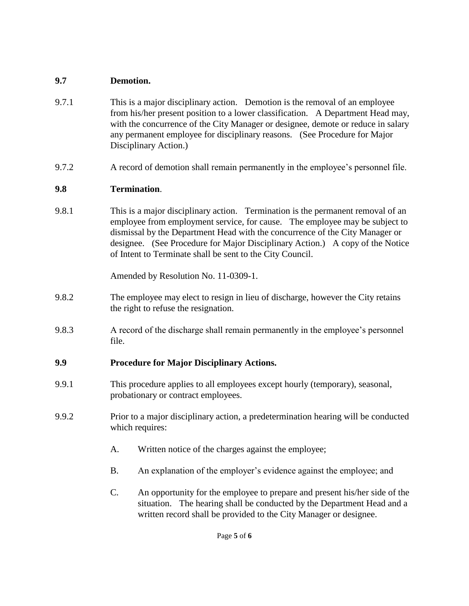## **9.7 Demotion.**

- 9.7.1 This is a major disciplinary action. Demotion is the removal of an employee from his/her present position to a lower classification. A Department Head may, with the concurrence of the City Manager or designee, demote or reduce in salary any permanent employee for disciplinary reasons. (See Procedure for Major Disciplinary Action.)
- 9.7.2 A record of demotion shall remain permanently in the employee's personnel file.

# **9.8 Termination**.

9.8.1 This is a major disciplinary action. Termination is the permanent removal of an employee from employment service, for cause. The employee may be subject to dismissal by the Department Head with the concurrence of the City Manager or designee. (See Procedure for Major Disciplinary Action.) A copy of the Notice of Intent to Terminate shall be sent to the City Council.

Amended by Resolution No. 11-0309-1.

- 9.8.2 The employee may elect to resign in lieu of discharge, however the City retains the right to refuse the resignation.
- 9.8.3 A record of the discharge shall remain permanently in the employee's personnel file.

# **9.9 Procedure for Major Disciplinary Actions.**

- 9.9.1 This procedure applies to all employees except hourly (temporary), seasonal, probationary or contract employees.
- 9.9.2 Prior to a major disciplinary action, a predetermination hearing will be conducted which requires:
	- A. Written notice of the charges against the employee;
	- B. An explanation of the employer's evidence against the employee; and
	- C. An opportunity for the employee to prepare and present his/her side of the situation. The hearing shall be conducted by the Department Head and a written record shall be provided to the City Manager or designee.